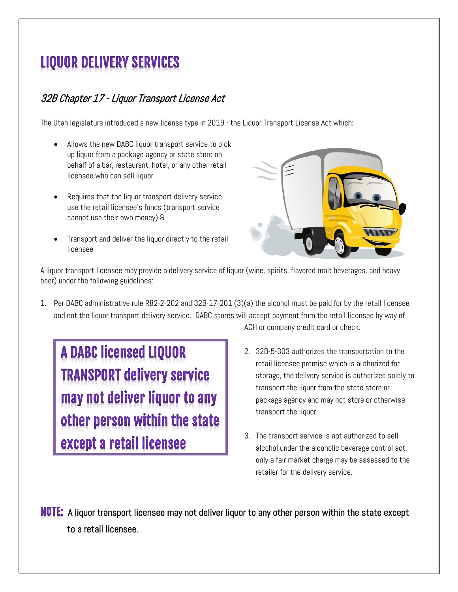## **LIQUOR DELIVERY SERVICES**

## 32B Chapter 17 - Liquor Transport License Act

The Utah legislature introduced a new license type in 2019 - the Liquor Transport License Act which:

- Allows the new DABC liquor transport service to pick up liquor from a package agency or state store on behalf of a bar, restaurant, hotel, or any other retail licensee who can sell liquor.
- Requires that the liquor transport delivery service use the retail licensee's funds (transport service cannot use their own money) &
- Transport and deliver the liquor directly to the retail licensee



A liquor transport licensee may provide a delivery service of liquor (wine, spirits, flavored malt beverages, and heavy beer) under the following guidelines:

1. Per DABC administrative rule R82-2-202 and 32B-17-201 (3)(a) the alcohol must be paid for by the retail licensee and not the liquor transport delivery service. DABC stores will accept payment from the retail licensee by way of

**A DABC licensed LIQUOR TRANSPORT delivery service** may not deliver liquor to any other person within the state except a retail licensee

ACH or company credit card or check.

- 2. 32B-5-303 authorizes the transportation to the retail licensee premise which is authorized for storage, the delivery service is authorized solely to transport the liquor from the state store or package agency and may not store or otherwise transport the liquor.
- 3. The transport service is not authorized to sell alcohol under the alcoholic beverage control act, only a fair market charge may be assessed to the retailer for the delivery service.

NOTE: A liquor transport licensee may not deliver liquor to any other person within the state except to a retail licensee.